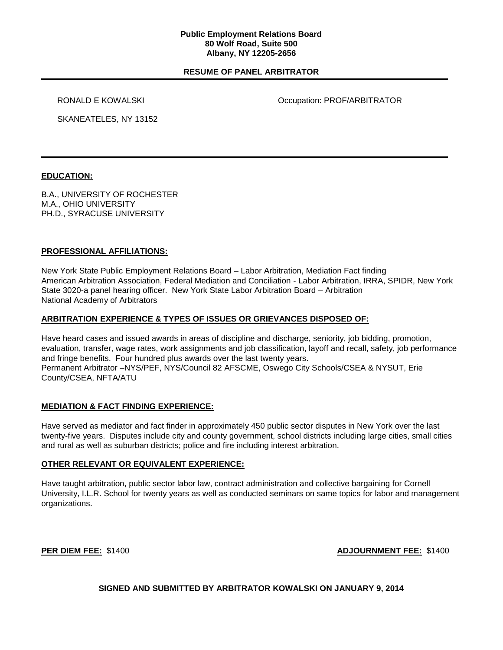#### **Public Employment Relations Board 80 Wolf Road, Suite 500 Albany, NY 12205-2656**

## **RESUME OF PANEL ARBITRATOR**

RONALD E KOWALSKI **COMETA E CONSUMING CONTRATOR** Occupation: PROF/ARBITRATOR

SKANEATELES, NY 13152

## **EDUCATION:**

B.A., UNIVERSITY OF ROCHESTER M.A., OHIO UNIVERSITY PH.D., SYRACUSE UNIVERSITY

## **PROFESSIONAL AFFILIATIONS:**

New York State Public Employment Relations Board – Labor Arbitration, Mediation Fact finding American Arbitration Association, Federal Mediation and Conciliation - Labor Arbitration, IRRA, SPIDR, New York State 3020-a panel hearing officer. New York State Labor Arbitration Board – Arbitration National Academy of Arbitrators

#### **ARBITRATION EXPERIENCE & TYPES OF ISSUES OR GRIEVANCES DISPOSED OF:**

Have heard cases and issued awards in areas of discipline and discharge, seniority, job bidding, promotion, evaluation, transfer, wage rates, work assignments and job classification, layoff and recall, safety, job performance and fringe benefits. Four hundred plus awards over the last twenty years. Permanent Arbitrator –NYS/PEF, NYS/Council 82 AFSCME, Oswego City Schools/CSEA & NYSUT, Erie County/CSEA, NFTA/ATU

#### **MEDIATION & FACT FINDING EXPERIENCE:**

Have served as mediator and fact finder in approximately 450 public sector disputes in New York over the last twenty-five years. Disputes include city and county government, school districts including large cities, small cities and rural as well as suburban districts; police and fire including interest arbitration.

#### **OTHER RELEVANT OR EQUIVALENT EXPERIENCE:**

Have taught arbitration, public sector labor law, contract administration and collective bargaining for Cornell University, I.L.R. School for twenty years as well as conducted seminars on same topics for labor and management organizations.

**PER DIEM FEE:** \$1400 **ADJOURNMENT FEE:** \$1400

#### **SIGNED AND SUBMITTED BY ARBITRATOR KOWALSKI ON JANUARY 9, 2014**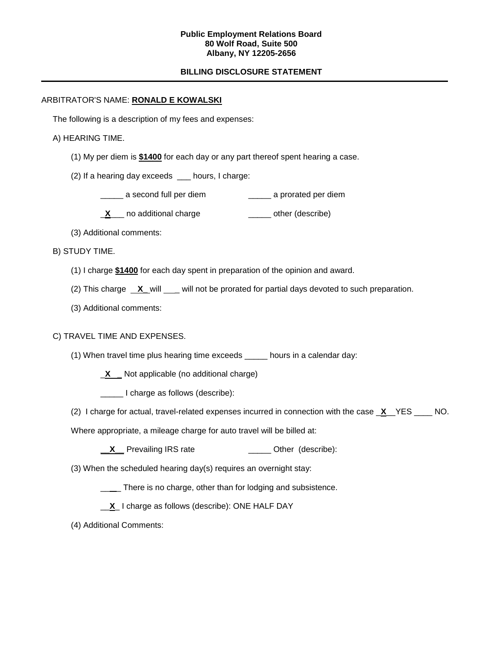#### **Public Employment Relations Board 80 Wolf Road, Suite 500 Albany, NY 12205-2656**

## **BILLING DISCLOSURE STATEMENT**

## ARBITRATOR'S NAME: **RONALD E KOWALSKI**

The following is a description of my fees and expenses:

#### A) HEARING TIME.

- (1) My per diem is **\$1400** for each day or any part thereof spent hearing a case.
- (2) If a hearing day exceeds \_\_\_ hours, I charge:
	- \_\_\_\_\_ a second full per diem \_\_\_\_\_ a prorated per diem
	- **X**<sub>\_\_</sub> no additional charge \_\_\_\_\_\_\_ other (describe)
- (3) Additional comments:
- B) STUDY TIME.
	- (1) I charge **\$1400** for each day spent in preparation of the opinion and award.
	- (2) This charge **X\_** will \_\_ will not be prorated for partial days devoted to such preparation.
	- (3) Additional comments:

#### C) TRAVEL TIME AND EXPENSES.

- (1) When travel time plus hearing time exceeds \_\_\_\_\_ hours in a calendar day:
	- \_**X \_** Not applicable (no additional charge)
	- \_\_\_\_\_ I charge as follows (describe):
- (2) I charge for actual, travel-related expenses incurred in connection with the case \_**X**\_\_YES \_\_\_\_ NO.
- Where appropriate, a mileage charge for auto travel will be billed at:
	- **X** Prevailing IRS rate \_\_\_\_\_\_\_\_\_\_\_\_\_\_\_\_\_\_ Other (describe):
- (3) When the scheduled hearing day(s) requires an overnight stay:
	- \_\_ \_ There is no charge, other than for lodging and subsistence.
	- \_\_**X**\_ I charge as follows (describe): ONE HALF DAY
- (4) Additional Comments: